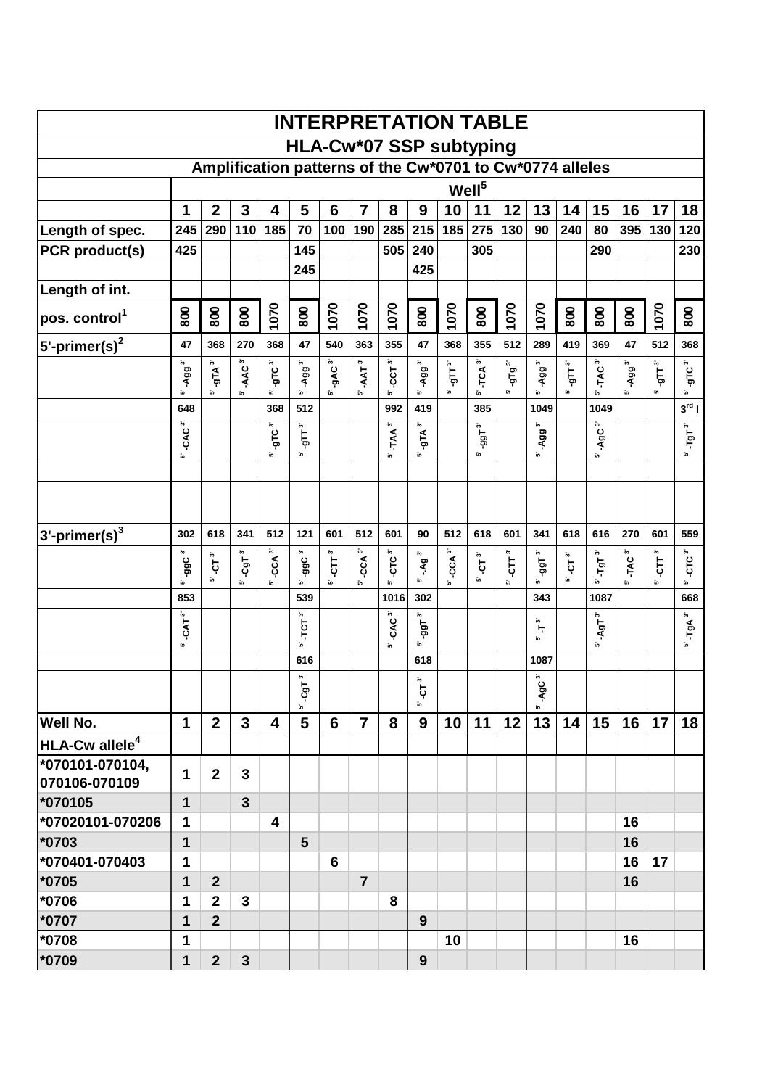|                               |                      |                                                          |                    |                      |                                     |                         |                      |                    |                              |               | <b>INTERPRETATION TABLE</b>    |                   |                              |                      |                    |                      |                |                    |
|-------------------------------|----------------------|----------------------------------------------------------|--------------------|----------------------|-------------------------------------|-------------------------|----------------------|--------------------|------------------------------|---------------|--------------------------------|-------------------|------------------------------|----------------------|--------------------|----------------------|----------------|--------------------|
|                               |                      |                                                          |                    |                      |                                     |                         |                      |                    |                              |               | <b>HLA-Cw*07 SSP subtyping</b> |                   |                              |                      |                    |                      |                |                    |
|                               |                      | Amplification patterns of the Cw*0701 to Cw*0774 alleles |                    |                      |                                     |                         |                      |                    |                              |               |                                |                   |                              |                      |                    |                      |                |                    |
|                               |                      |                                                          |                    |                      |                                     |                         |                      |                    |                              |               | Well <sup>5</sup>              |                   |                              |                      |                    |                      |                |                    |
|                               | 1                    | $\mathbf{2}$                                             | 3                  | 4                    | 5                                   | $6\phantom{1}6$         | 7                    | 8                  | 9                            | 10            | 11                             | 12                | 13                           | 14                   | 15                 | 16                   | 17             | 18                 |
| Length of spec.               | 245                  | 290                                                      | 110                | 185                  | 70                                  | 100                     | 190                  | 285                | 215                          | 185           | 275                            | 130               | 90                           | 240                  | 80                 | 395                  | 130            | 120                |
| PCR product(s)                | 425                  |                                                          |                    |                      | 145                                 |                         |                      | 505                | 240                          |               | 305                            |                   |                              |                      | 290                |                      |                | 230                |
|                               |                      |                                                          |                    |                      | 245                                 |                         |                      |                    | 425                          |               |                                |                   |                              |                      |                    |                      |                |                    |
| Length of int.                |                      |                                                          |                    |                      |                                     |                         |                      |                    |                              |               |                                |                   |                              |                      |                    |                      |                |                    |
| pos. control <sup>1</sup>     | 800                  | 800                                                      | 800                | 1070                 | 800                                 | 1070                    | 1070                 | 1070               | 800                          | 1070          | 800                            | 1070              | 1070                         | 800                  | 800                | 800                  | 1070           | 800                |
| $5$ '-primer(s) <sup>2</sup>  | 47                   | 368                                                      | 270                | 368                  | 47                                  | 540                     | 363                  | 355                | 47                           | 368           | 355                            | 512               | 289                          | 419                  | 369                | 47                   | 512            | 368                |
|                               | $\ddot{\phantom{0}}$ | -gTA <sup>3'</sup>                                       | -AAC <sup>3'</sup> | -gTC <sup>3″</sup>   | $-$ Agg $^{3'}$                     | <b>AC</b> <sup>3'</sup> | $-AAT^3$             | $-CCT3$            | -Agg <sup>3'</sup>           | - $g$ ГТ $^3$ | $-TCA3$                        | - $9$ Т $9^3$     | -Agg <sup>3'</sup>           | - $g$ ГТ $^3$        | TAC <sup>3</sup>   |                      | - $9$ ГТ $^3$  | -gTC <sup>3″</sup> |
|                               | $499^{\circ}$<br>ĵ۵, | ້ເຄ                                                      | ĵ۵,                | ĩo.                  | ĩo.                                 | ĩο.                     | ້ທ                   | j۶                 | ĩ۵,                          | ້ເຄ           | ĵ۵,                            | ĵ۵,               | ĩo.                          | ້ທ                   | ĵ٥,                | 5' Agg <sup>3'</sup> | j۵,            | ĵ۵,                |
|                               | 648                  |                                                          |                    | 368                  | 512                                 |                         |                      | 992                | 419                          |               | 385                            |                   | 1049                         |                      | 1049               |                      |                | $3^{\text{rd}}$    |
|                               | -CAC <sup>3'</sup>   |                                                          |                    | $-9LC^{3}$           | $\mathbf{e}^{\mathbf{d}\mathbf{b}}$ |                         |                      | $-TAA^3$           | $-9$ TA $^3$                 |               | $-991$                         |                   | -Agg <sup>3'</sup>           |                      | -AgC <sup>3'</sup> |                      |                | $-$ ד $\rm{gT}$    |
|                               | in.                  |                                                          |                    | ĵ۵,                  | in,                                 |                         |                      | ĵ٥,                | ĵ۵,                          |               | ĵ٥,                            |                   | ĵ۵,                          |                      | ĵ٥,                |                      |                | ĵ۵,                |
|                               |                      |                                                          |                    |                      |                                     |                         |                      |                    |                              |               |                                |                   |                              |                      |                    |                      |                |                    |
|                               |                      |                                                          |                    |                      |                                     |                         |                      |                    |                              |               |                                |                   |                              |                      |                    |                      |                |                    |
|                               |                      |                                                          |                    |                      |                                     |                         |                      |                    |                              |               |                                |                   |                              |                      |                    |                      |                |                    |
| $ 3$ '-primer(s) <sup>3</sup> | 302                  | 618                                                      | 341                | 512                  | 121                                 | 601                     | 512                  | 601                | 90                           | 512           | 618                            | 601               | 341                          | 618                  | 616                | 270                  | 601            | 559                |
|                               | -99C"                | $\tilde{\boldsymbol{\cdot}}$                             | ៹៰៲                | $-CCA$ <sup>3'</sup> | $-99C^{3}$                          | $-CTT^3$                | $-CCA$ <sup>3'</sup> | -CTC <sup>3</sup>  | -.Ag <sup>3'</sup>           |               | پي                             | ĵ۰,               | $-991$                       | $\ddot{\phantom{1}}$ | $-$ ТgТ $^{-3}$    |                      | $\overline{C}$ | $-CTC^3$           |
|                               | ້ເຄ                  | Ģ<br>in.                                                 | ້ເຄ                | ĩο.                  | ĩ0                                  | io.                     | ້ທ                   | in.                | ĵ٥,                          | $5 - CCA$ $3$ | Ģ<br>in.                       | $\ddot{5}$<br>ĵ۵, | ίo,                          | Ģ<br>ίn.             | j۵,                | 5' TAC <sup>3'</sup> | ້ເຄ            | ĵ٥,                |
|                               | 853                  |                                                          |                    |                      | 539                                 |                         |                      | 1016               | 302                          |               |                                |                   | 343                          |                      | 1087               |                      |                | 668                |
|                               | $-CAT3$              |                                                          |                    |                      | $\tilde{\boldsymbol{\cdot}}$        |                         |                      | -CAC <sup>3'</sup> | ĵ۵,                          |               |                                |                   | ĵ۰,                          |                      | -AgT <sup>3</sup>  |                      |                | $-$ TgA $^{3}$     |
|                               | ĵ٥,                  |                                                          |                    |                      | TCT.<br>ĩο.                         |                         |                      | in.                | -99T<br>ĩ۵,                  |               |                                |                   | Ę<br>ĩ0                      |                      | in.                |                      |                |                    |
|                               |                      |                                                          |                    |                      | 616                                 |                         |                      |                    | 618                          |               |                                |                   | 1087                         |                      |                    |                      |                |                    |
|                               |                      |                                                          |                    |                      | $\tilde{\mathbf{c}}$                |                         |                      |                    | $\tilde{\boldsymbol{\cdot}}$ |               |                                |                   | $\tilde{\boldsymbol{\cdot}}$ |                      |                    |                      |                |                    |
|                               |                      |                                                          |                    |                      | ڣ<br>ĩo.                            |                         |                      |                    | ងុ<br>Ĵ۵,                    |               |                                |                   | -AgC<br>ĵ۵,                  |                      |                    |                      |                |                    |
| Well No.                      | $\mathbf 1$          | $\mathbf{2}$                                             | 3                  | 4                    | 5                                   | 6                       | $\overline{7}$       | 8                  | 9                            | 10            | 11                             | 12                | 13                           | 14                   | 15                 | 16                   | 17             | 18                 |
| HLA-Cw allele <sup>4</sup>    |                      |                                                          |                    |                      |                                     |                         |                      |                    |                              |               |                                |                   |                              |                      |                    |                      |                |                    |
| 1070101-070104,               |                      | $\overline{2}$                                           | 3                  |                      |                                     |                         |                      |                    |                              |               |                                |                   |                              |                      |                    |                      |                |                    |
| 070106-070109                 | 1                    |                                                          |                    |                      |                                     |                         |                      |                    |                              |               |                                |                   |                              |                      |                    |                      |                |                    |
| *070105                       | 1                    |                                                          | $\mathbf{3}$       |                      |                                     |                         |                      |                    |                              |               |                                |                   |                              |                      |                    |                      |                |                    |
| *07020101-070206              | 1                    |                                                          |                    | 4                    |                                     |                         |                      |                    |                              |               |                                |                   |                              |                      |                    | 16                   |                |                    |
| *0703                         | 1                    |                                                          |                    |                      | 5                                   |                         |                      |                    |                              |               |                                |                   |                              |                      |                    | 16                   |                |                    |
| *070401-070403                | 1                    |                                                          |                    |                      |                                     | 6                       |                      |                    |                              |               |                                |                   |                              |                      |                    | 16                   | 17             |                    |
| *0705                         | 1                    | $\overline{2}$                                           |                    |                      |                                     |                         | $\overline{7}$       |                    |                              |               |                                |                   |                              |                      |                    | 16                   |                |                    |
| *0706                         | 1                    | $\overline{2}$                                           | 3                  |                      |                                     |                         |                      | 8                  |                              |               |                                |                   |                              |                      |                    |                      |                |                    |
| *0707                         | 1                    | $\overline{2}$                                           |                    |                      |                                     |                         |                      |                    | 9                            |               |                                |                   |                              |                      |                    |                      |                |                    |
| *0708                         | 1                    |                                                          |                    |                      |                                     |                         |                      |                    |                              | 10            |                                |                   |                              |                      |                    | 16                   |                |                    |
| *0709                         | 1                    | $\overline{2}$                                           | 3                  |                      |                                     |                         |                      |                    | 9                            |               |                                |                   |                              |                      |                    |                      |                |                    |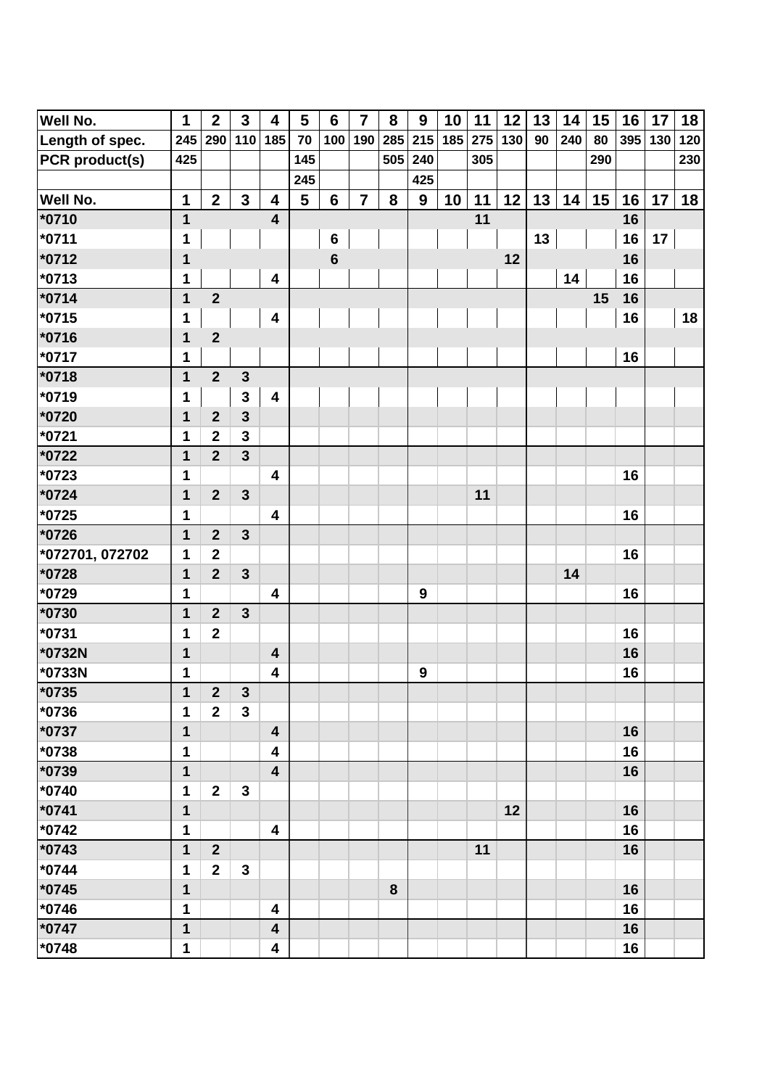| Well No.        | $\mathbf 1$  | $\mathbf{2}$            | $\mathbf{3}$            | $\overline{\mathbf{4}}$ | $5\phantom{1}$ | $6\phantom{1}6$ | $\overline{7}$ | 8   | 9                | 10  | 11  | 12  | 13 | 14  | 15  | 16  | 17  | 18  |
|-----------------|--------------|-------------------------|-------------------------|-------------------------|----------------|-----------------|----------------|-----|------------------|-----|-----|-----|----|-----|-----|-----|-----|-----|
| Length of spec. | 245          | 290                     | 110                     | 185                     | 70             | 100             | 190            | 285 | 215              | 185 | 275 | 130 | 90 | 240 | 80  | 395 | 130 | 120 |
| PCR product(s)  | 425          |                         |                         |                         | 145            |                 |                | 505 | 240              |     | 305 |     |    |     | 290 |     |     | 230 |
|                 |              |                         |                         |                         | 245            |                 |                |     | 425              |     |     |     |    |     |     |     |     |     |
| <b>Well No.</b> | 1            | $\overline{2}$          | $\mathbf{3}$            | 4                       | 5              | $6\phantom{1}$  | $\overline{7}$ | 8   | 9                | 10  | 11  | 12  | 13 | 14  | 15  | 16  | 17  | 18  |
| $*0710$         | $\mathbf{1}$ |                         |                         | $\overline{\mathbf{4}}$ |                |                 |                |     |                  |     | 11  |     |    |     |     | 16  |     |     |
| *0711           | 1            |                         |                         |                         |                | $\bf 6$         |                |     |                  |     |     |     | 13 |     |     | 16  | 17  |     |
| *0712           | 1            |                         |                         |                         |                | $6\phantom{1}6$ |                |     |                  |     |     | 12  |    |     |     | 16  |     |     |
| *0713           | 1            |                         |                         | $\overline{\mathbf{4}}$ |                |                 |                |     |                  |     |     |     |    | 14  |     | 16  |     |     |
| $*0714$         | 1            | $\overline{2}$          |                         |                         |                |                 |                |     |                  |     |     |     |    |     | 15  | 16  |     |     |
| *0715           | 1            |                         |                         | $\overline{\mathbf{4}}$ |                |                 |                |     |                  |     |     |     |    |     |     | 16  |     | 18  |
| *0716           | 1            | $\mathbf{2}$            |                         |                         |                |                 |                |     |                  |     |     |     |    |     |     |     |     |     |
| *0717           | 1            |                         |                         |                         |                |                 |                |     |                  |     |     |     |    |     |     | 16  |     |     |
| *0718           | $\mathbf{1}$ | $\overline{2}$          | $\mathbf{3}$            |                         |                |                 |                |     |                  |     |     |     |    |     |     |     |     |     |
| *0719           | 1            |                         | 3                       | $\overline{\mathbf{4}}$ |                |                 |                |     |                  |     |     |     |    |     |     |     |     |     |
| *0720           | 1            | $\overline{2}$          | $\overline{\mathbf{3}}$ |                         |                |                 |                |     |                  |     |     |     |    |     |     |     |     |     |
| *0721           | 1            | $\overline{\mathbf{2}}$ | $\overline{\mathbf{3}}$ |                         |                |                 |                |     |                  |     |     |     |    |     |     |     |     |     |
| *0722           | 1            | $\overline{2}$          | $\overline{3}$          |                         |                |                 |                |     |                  |     |     |     |    |     |     |     |     |     |
| $*0723$         | 1            |                         |                         | 4                       |                |                 |                |     |                  |     |     |     |    |     |     | 16  |     |     |
| $*0724$         | 1            | $\overline{2}$          | $\mathbf{3}$            |                         |                |                 |                |     |                  |     | 11  |     |    |     |     |     |     |     |
| *0725           | 1            |                         |                         | 4                       |                |                 |                |     |                  |     |     |     |    |     |     | 16  |     |     |
| *0726           | 1            | $\overline{2}$          | $\mathbf{3}$            |                         |                |                 |                |     |                  |     |     |     |    |     |     |     |     |     |
| *072701, 072702 | 1            | $\overline{\mathbf{2}}$ |                         |                         |                |                 |                |     |                  |     |     |     |    |     |     | 16  |     |     |
| *0728           | 1            | $\overline{2}$          | $\mathbf{3}$            |                         |                |                 |                |     |                  |     |     |     |    | 14  |     |     |     |     |
| *0729           | 1            |                         |                         | 4                       |                |                 |                |     | $\boldsymbol{9}$ |     |     |     |    |     |     | 16  |     |     |
| *0730           | 1            | $\overline{2}$          | $\mathbf{3}$            |                         |                |                 |                |     |                  |     |     |     |    |     |     |     |     |     |
| *0731           | 1            | $\overline{\mathbf{2}}$ |                         |                         |                |                 |                |     |                  |     |     |     |    |     |     | 16  |     |     |
| *0732N          | 1            |                         |                         | $\overline{\mathbf{4}}$ |                |                 |                |     |                  |     |     |     |    |     |     | 16  |     |     |
| *0733N          | 1            |                         |                         | 4                       |                |                 |                |     | 9                |     |     |     |    |     |     | 16  |     |     |
| *0735           | 1            | $\boldsymbol{2}$        | 3                       |                         |                |                 |                |     |                  |     |     |     |    |     |     |     |     |     |
| *0736           | 1            | $\overline{2}$          | $\mathbf{3}$            |                         |                |                 |                |     |                  |     |     |     |    |     |     |     |     |     |
| *0737           | 1            |                         |                         | $\overline{\mathbf{4}}$ |                |                 |                |     |                  |     |     |     |    |     |     | 16  |     |     |
| *0738           | 1            |                         |                         | 4                       |                |                 |                |     |                  |     |     |     |    |     |     | 16  |     |     |
| *0739           | 1            |                         |                         | $\overline{\mathbf{4}}$ |                |                 |                |     |                  |     |     |     |    |     |     | 16  |     |     |
| *0740           | 1            | $\overline{\mathbf{2}}$ | 3                       |                         |                |                 |                |     |                  |     |     |     |    |     |     |     |     |     |
| *0741           | 1            |                         |                         |                         |                |                 |                |     |                  |     |     | 12  |    |     |     | 16  |     |     |
| *0742           | 1            |                         |                         | $\overline{\mathbf{4}}$ |                |                 |                |     |                  |     |     |     |    |     |     | 16  |     |     |
| *0743           | 1            | $\overline{2}$          |                         |                         |                |                 |                |     |                  |     | 11  |     |    |     |     | 16  |     |     |
| *0744           | 1            | $\mathbf{2}$            | $\mathbf{3}$            |                         |                |                 |                |     |                  |     |     |     |    |     |     |     |     |     |
| *0745           | 1            |                         |                         |                         |                |                 |                | 8   |                  |     |     |     |    |     |     | 16  |     |     |
| *0746           | 1            |                         |                         | 4                       |                |                 |                |     |                  |     |     |     |    |     |     | 16  |     |     |
| $*0747$         | 1            |                         |                         | 4                       |                |                 |                |     |                  |     |     |     |    |     |     | 16  |     |     |
| *0748           | 1            |                         |                         | 4                       |                |                 |                |     |                  |     |     |     |    |     |     | 16  |     |     |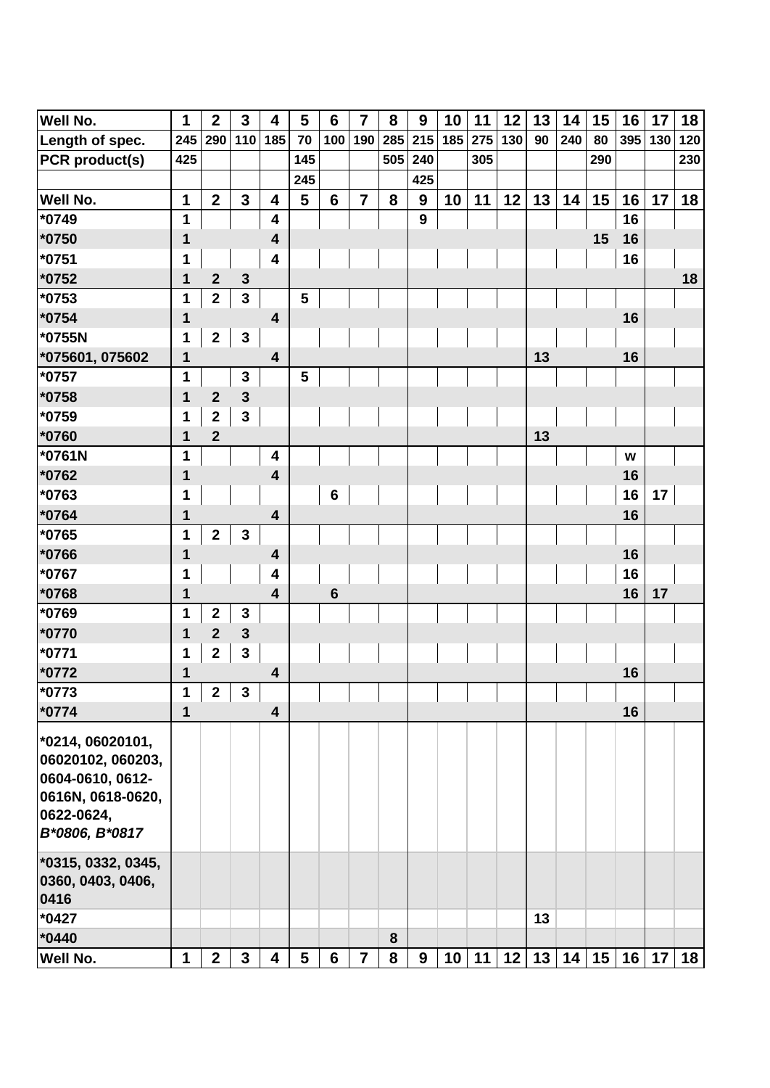| <b>Well No.</b>       | $\mathbf 1$  | $\mathbf{2}$            | $\mathbf{3}$            | 4                       | $5\phantom{.0}$ | $6\phantom{1}6$ | $\overline{7}$ | 8   | 9                | 10  | 11  | 12  | 13 | 14  | 15  | 16  | 17  | 18  |
|-----------------------|--------------|-------------------------|-------------------------|-------------------------|-----------------|-----------------|----------------|-----|------------------|-----|-----|-----|----|-----|-----|-----|-----|-----|
| Length of spec.       | 245          | 290                     | 110                     | 185                     | 70              | 100             | 190            | 285 | 215              | 185 | 275 | 130 | 90 | 240 | 80  | 395 | 130 | 120 |
| <b>PCR</b> product(s) | 425          |                         |                         |                         | 145             |                 |                | 505 | 240              |     | 305 |     |    |     | 290 |     |     | 230 |
|                       |              |                         |                         |                         | 245             |                 |                |     | 425              |     |     |     |    |     |     |     |     |     |
| Well No.              | 1            | $\overline{2}$          | $\overline{\mathbf{3}}$ | 4                       | 5               | $6\phantom{1}$  | $\overline{7}$ | 8   | 9                | 10  | 11  | 12  | 13 | 14  | 15  | 16  | 17  | 18  |
| *0749                 | 1            |                         |                         | $\overline{\mathbf{4}}$ |                 |                 |                |     | $\boldsymbol{9}$ |     |     |     |    |     |     | 16  |     |     |
| $*0750$               | 1            |                         |                         | $\overline{\mathbf{4}}$ |                 |                 |                |     |                  |     |     |     |    |     | 15  | 16  |     |     |
| $*0751$               | 1            |                         |                         | 4                       |                 |                 |                |     |                  |     |     |     |    |     |     | 16  |     |     |
| $*0752$               | 1            | $\mathbf{2}$            | $\mathbf{3}$            |                         |                 |                 |                |     |                  |     |     |     |    |     |     |     |     | 18  |
| $*0753$               | 1            | $\overline{2}$          | $\mathbf{3}$            |                         | $5\phantom{.0}$ |                 |                |     |                  |     |     |     |    |     |     |     |     |     |
| *0754                 | 1            |                         |                         | $\overline{\mathbf{4}}$ |                 |                 |                |     |                  |     |     |     |    |     |     | 16  |     |     |
| *0755N                | 1            | $\overline{2}$          | $\mathbf{3}$            |                         |                 |                 |                |     |                  |     |     |     |    |     |     |     |     |     |
| *075601, 075602       | 1            |                         |                         | $\overline{\mathbf{4}}$ |                 |                 |                |     |                  |     |     |     | 13 |     |     | 16  |     |     |
| *0757                 | 1            |                         | $\mathbf{3}$            |                         | $5\phantom{1}$  |                 |                |     |                  |     |     |     |    |     |     |     |     |     |
| $*0758$               | 1            | $\overline{2}$          | $\mathbf{3}$            |                         |                 |                 |                |     |                  |     |     |     |    |     |     |     |     |     |
| *0759                 | 1            | $\mathbf 2$             | 3                       |                         |                 |                 |                |     |                  |     |     |     |    |     |     |     |     |     |
| *0760                 | 1            | $\mathbf{2}$            |                         |                         |                 |                 |                |     |                  |     |     |     | 13 |     |     |     |     |     |
| *0761N                | 1            |                         |                         | $\overline{\mathbf{4}}$ |                 |                 |                |     |                  |     |     |     |    |     |     | W   |     |     |
| *0762                 | 1            |                         |                         | 4                       |                 |                 |                |     |                  |     |     |     |    |     |     | 16  |     |     |
| *0763                 | 1            |                         |                         |                         |                 | $6\phantom{a}$  |                |     |                  |     |     |     |    |     |     | 16  | 17  |     |
| $*0764$               | 1            |                         |                         | $\overline{\mathbf{4}}$ |                 |                 |                |     |                  |     |     |     |    |     |     | 16  |     |     |
| *0765                 | 1            | $\overline{\mathbf{2}}$ | $\mathbf{3}$            |                         |                 |                 |                |     |                  |     |     |     |    |     |     |     |     |     |
| *0766                 | 1            |                         |                         | $\overline{\mathbf{4}}$ |                 |                 |                |     |                  |     |     |     |    |     |     | 16  |     |     |
| *0767                 | 1            |                         |                         | 4                       |                 |                 |                |     |                  |     |     |     |    |     |     | 16  |     |     |
| *0768                 | 1            |                         |                         | $\overline{\mathbf{4}}$ |                 | $6\phantom{1}6$ |                |     |                  |     |     |     |    |     |     | 16  | 17  |     |
| *0769                 | 1            | $\boldsymbol{2}$        | $\mathbf{3}$            |                         |                 |                 |                |     |                  |     |     |     |    |     |     |     |     |     |
| $*0770$               | $\mathbf{1}$ | $\overline{2}$          | $\mathbf{3}$            |                         |                 |                 |                |     |                  |     |     |     |    |     |     |     |     |     |
| $*0771$               | 1            | $\mathbf 2$             | 3                       |                         |                 |                 |                |     |                  |     |     |     |    |     |     |     |     |     |
| $*0772$               | 1            |                         |                         | 4                       |                 |                 |                |     |                  |     |     |     |    |     |     | 16  |     |     |
| *0773                 | 1            | 2 <sup>1</sup>          | 3                       |                         |                 |                 |                |     |                  |     |     |     |    |     |     |     |     |     |
| $*0774$               | 1            |                         |                         | $\overline{\mathbf{4}}$ |                 |                 |                |     |                  |     |     |     |    |     |     | 16  |     |     |
| 10214, 06020101,      |              |                         |                         |                         |                 |                 |                |     |                  |     |     |     |    |     |     |     |     |     |
| 06020102, 060203,     |              |                         |                         |                         |                 |                 |                |     |                  |     |     |     |    |     |     |     |     |     |
| 0604-0610, 0612-      |              |                         |                         |                         |                 |                 |                |     |                  |     |     |     |    |     |     |     |     |     |
| 0616N, 0618-0620,     |              |                         |                         |                         |                 |                 |                |     |                  |     |     |     |    |     |     |     |     |     |
| 0622-0624,            |              |                         |                         |                         |                 |                 |                |     |                  |     |     |     |    |     |     |     |     |     |
| B*0806, B*0817        |              |                         |                         |                         |                 |                 |                |     |                  |     |     |     |    |     |     |     |     |     |
| *0315, 0332, 0345,    |              |                         |                         |                         |                 |                 |                |     |                  |     |     |     |    |     |     |     |     |     |
| 0360, 0403, 0406,     |              |                         |                         |                         |                 |                 |                |     |                  |     |     |     |    |     |     |     |     |     |
| 0416                  |              |                         |                         |                         |                 |                 |                |     |                  |     |     |     |    |     |     |     |     |     |
| $*0427$               |              |                         |                         |                         |                 |                 |                |     |                  |     |     |     | 13 |     |     |     |     |     |
| $*0440$               |              |                         |                         |                         |                 |                 |                | 8   |                  |     |     |     |    |     |     |     |     |     |
| Well No.              | $\mathbf{1}$ | $\overline{2}$          | $\mathbf{3}$            | $\overline{\mathbf{4}}$ | 5               | 6               | $\overline{7}$ | 8   | 9                | 10  | 11  | 12  | 13 | 14  | 15  | 16  | 17  | 18  |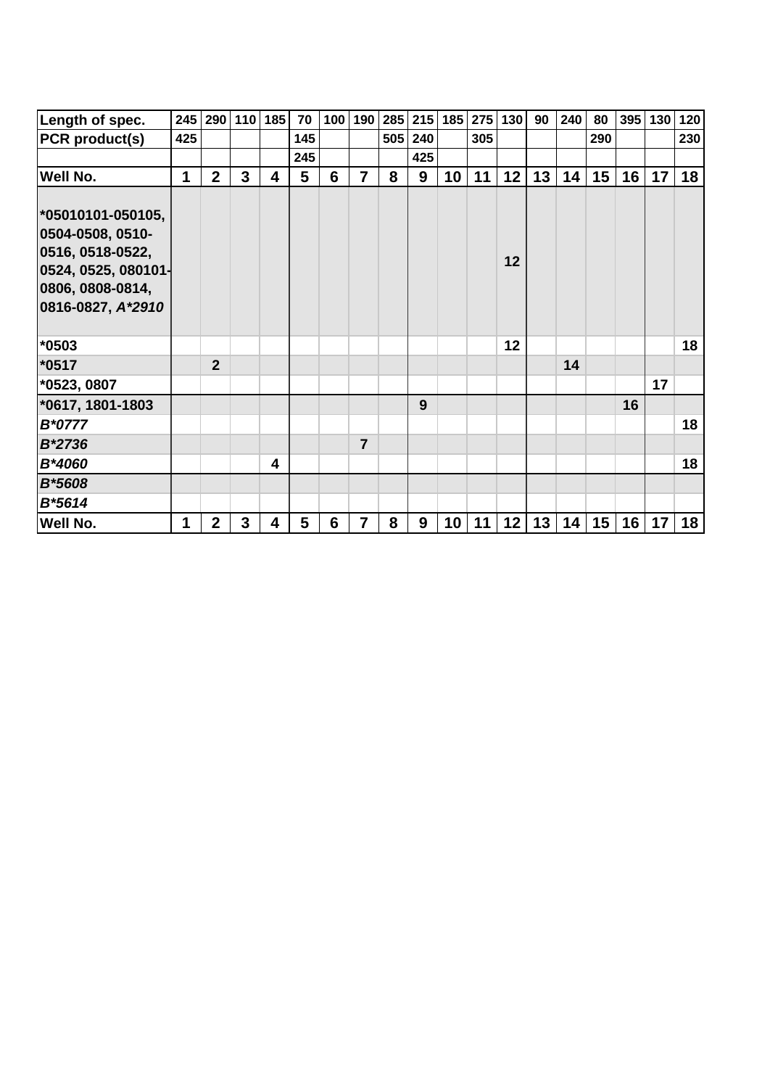| Length of spec.                                                                                                           | 245 |                | 290 110      | 185                     | 70  | 100 | 190            | 285 |         | $215$ 185 | 275 | 130 | 90 | 240 | 80  | 395 | 130 | 120 |
|---------------------------------------------------------------------------------------------------------------------------|-----|----------------|--------------|-------------------------|-----|-----|----------------|-----|---------|-----------|-----|-----|----|-----|-----|-----|-----|-----|
| PCR product(s)                                                                                                            | 425 |                |              |                         | 145 |     |                |     | 505 240 |           | 305 |     |    |     | 290 |     |     | 230 |
|                                                                                                                           |     |                |              |                         | 245 |     |                |     | 425     |           |     |     |    |     |     |     |     |     |
| <b>Well No.</b>                                                                                                           | 1   | $\overline{2}$ | 3            | $\overline{\mathbf{4}}$ | 5   | 6   | $\overline{7}$ | 8   | 9       | 10        | 11  | 12  | 13 | 14  | 15  | 16  | 17  | 18  |
| *05010101-050105,<br>0504-0508, 0510-<br>0516, 0518-0522,<br>0524, 0525, 080101-<br>0806, 0808-0814,<br>0816-0827, A*2910 |     |                |              |                         |     |     |                |     |         |           |     | 12  |    |     |     |     |     |     |
| *0503                                                                                                                     |     |                |              |                         |     |     |                |     |         |           |     | 12  |    |     |     |     |     | 18  |
| *0517                                                                                                                     |     | $\overline{2}$ |              |                         |     |     |                |     |         |           |     |     |    | 14  |     |     |     |     |
| *0523, 0807                                                                                                               |     |                |              |                         |     |     |                |     |         |           |     |     |    |     |     |     | 17  |     |
| *0617, 1801-1803                                                                                                          |     |                |              |                         |     |     |                |     | 9       |           |     |     |    |     |     | 16  |     |     |
| B*0777                                                                                                                    |     |                |              |                         |     |     |                |     |         |           |     |     |    |     |     |     |     | 18  |
| B*2736                                                                                                                    |     |                |              |                         |     |     | $\overline{7}$ |     |         |           |     |     |    |     |     |     |     |     |
| B*4060                                                                                                                    |     |                |              | 4                       |     |     |                |     |         |           |     |     |    |     |     |     |     | 18  |
| <b>B*5608</b>                                                                                                             |     |                |              |                         |     |     |                |     |         |           |     |     |    |     |     |     |     |     |
| B*5614                                                                                                                    |     |                |              |                         |     |     |                |     |         |           |     |     |    |     |     |     |     |     |
| <b>Well No.</b>                                                                                                           | 1   | $\overline{2}$ | $\mathbf{3}$ | 4                       | 5   | 6   | $\overline{7}$ | 8   | 9       | 10        | 11  | 12  | 13 | 14  | 15  | 16  | 17  | 18  |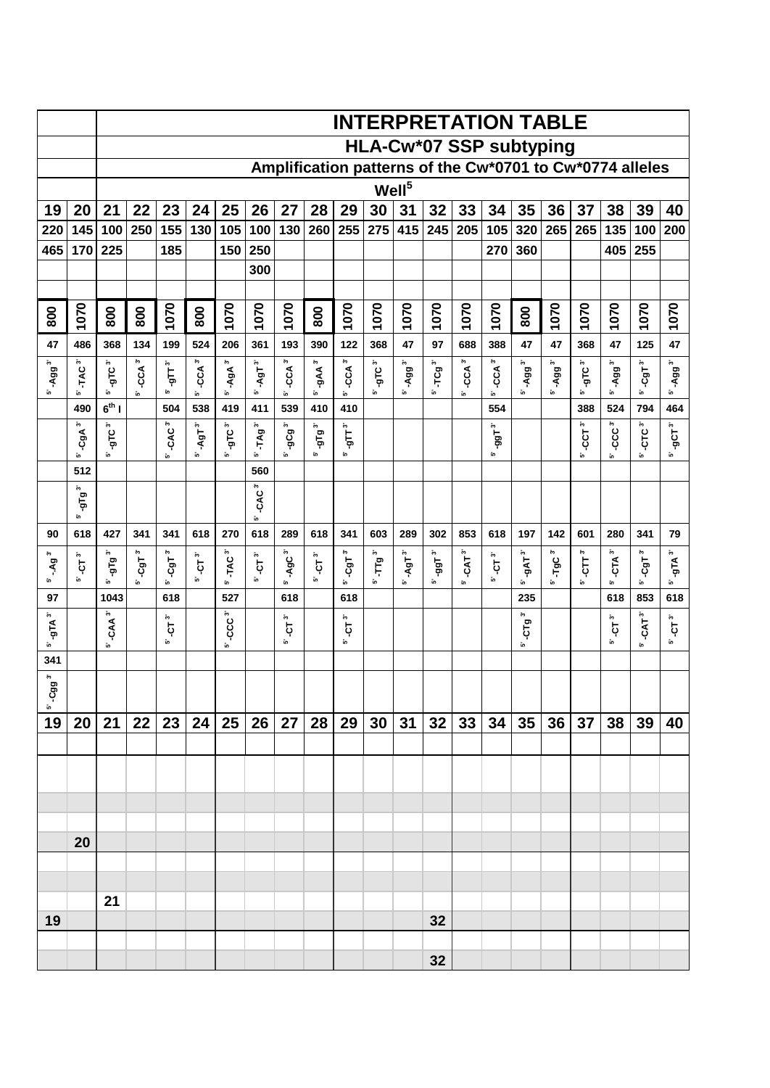|                                        |                                         |                                |                              |                          |                                         |                      |                                  |                    |                                  | <b>INTERPRETATION TABLE</b> |                                 |                     |                  |                |                 |                       |                         |                                                          |                              |                    |                             |
|----------------------------------------|-----------------------------------------|--------------------------------|------------------------------|--------------------------|-----------------------------------------|----------------------|----------------------------------|--------------------|----------------------------------|-----------------------------|---------------------------------|---------------------|------------------|----------------|-----------------|-----------------------|-------------------------|----------------------------------------------------------|------------------------------|--------------------|-----------------------------|
|                                        |                                         |                                |                              |                          |                                         |                      |                                  |                    |                                  |                             | HLA-Cw*07 SSP subtyping         |                     |                  |                |                 |                       |                         |                                                          |                              |                    |                             |
|                                        |                                         |                                |                              |                          |                                         |                      |                                  |                    |                                  |                             |                                 |                     |                  |                |                 |                       |                         | Amplification patterns of the Cw*0701 to Cw*0774 alleles |                              |                    |                             |
|                                        |                                         |                                |                              |                          |                                         |                      |                                  |                    |                                  |                             | Well <sup>5</sup>               |                     |                  |                |                 |                       |                         |                                                          |                              |                    |                             |
| 19<br>220                              | 20<br>145                               | 21<br>100                      | 22<br>250                    | 23<br>155                | 24<br>130                               | 25<br>105            | 26<br>100                        | 27                 | 28<br>130 260                    | 29<br>255                   | 30<br>275                       | 31<br>415           | 32<br>245        | 33<br>205      | 34<br>105       | 35<br>320             | 36<br>265               | 37<br>265                                                | 38<br>135                    | 39<br>100          | 40<br>200                   |
| 465                                    | 170                                     | 225                            |                              | 185                      |                                         | 150                  | 250                              |                    |                                  |                             |                                 |                     |                  |                | 270             | 360                   |                         |                                                          | 405                          | 255                |                             |
|                                        |                                         |                                |                              |                          |                                         |                      | 300                              |                    |                                  |                             |                                 |                     |                  |                |                 |                       |                         |                                                          |                              |                    |                             |
|                                        |                                         |                                |                              |                          |                                         |                      |                                  |                    |                                  |                             |                                 |                     |                  |                |                 |                       |                         |                                                          |                              |                    |                             |
| 800                                    | 1070                                    | 800                            | 800                          | 1070                     | 800                                     | 1070                 | 1070                             | 1070               | 800                              | 1070                        | 1070                            | 1070                | 1070             | 1070           | 1070            | 800                   | 1070                    | 1070                                                     | 1070                         | 1070               | 1070                        |
| 47                                     | 486                                     | 368                            | 134                          | 199                      | 524                                     | 206                  | 361                              | 193                | 390                              | 122                         | 368                             | 47                  | 97               | 688            | 388             | 47                    | 47                      | 368                                                      | 47                           | 125                | 47                          |
| -Agg <sup>3'</sup>                     | TAC <sup>3</sup>                        | ы<br>Роте-                     | $5^{\circ}$ -CCA $3^{\circ}$ | $\mathbf{u}$             | $-CCA3$                                 | $-AgA3'$             | $-4.9T^{3'}$                     | $-cca^3$           | $-gAA$ <sup>3'</sup>             | $-CCA$ <sup>3'</sup>        | -яс°'                           | $-4.993$            | TCg <sup>3</sup> | $-CA3'$        | $-CCA3$         | $-$ Agg $^3$          | -Agg <sup>3'</sup>      | -ягс $^3$                                                | 5' -Agg <sup>3'</sup>        | $-$ CgT $^3$       | $-4.993$ <sup>3'</sup>      |
| ĩο,                                    | ĩο.<br>490                              | ĩo.<br>$6th$                   |                              | ້ທ<br>504                | Ĵ۵,<br>538                              | ້ເກ<br>419           | ĵ٥,<br>411                       | ້ເຄ<br>539         | ĩo.<br>410                       | in.<br>410                  | ĵ۵,                             | ĵ۵,                 | ĩο.              | ້ເຄ            | ĵ۵,<br>554      | ĩο.                   | ίn.                     | ĵ۵,<br>388                                               | 524                          | ĵ٥,<br>794         | ĵ۵,<br>464                  |
|                                        | $-cgA3'$                                | - <sub>9</sub> тс <sup>3</sup> |                              | -CAC <sup>3'</sup>       | $\ddot{\phantom{1}}$<br>-<br>AgT<br>້ເຄ | ы<br>ОГе<br>in.      | $TAg^3$<br><b>မ်ာ</b>            | $-9Cg3$<br>ĩο.     | - $9$ Т $9^3$<br>in,             | $\mathbf{e}$<br>້ເດ         |                                 |                     |                  |                | $-991$<br>ĩo.   |                       |                         | ĵ۰,<br>ĢС                                                | $-CCC3$                      | $CTC^3$            | -gCT <sup>3'</sup> l<br>Ĵ۵, |
|                                        | ĩο.<br>512                              | ĩo.                            |                              | j۵,                      |                                         |                      | 560                              |                    |                                  |                             |                                 |                     |                  |                |                 |                       |                         | j۵,                                                      | ĩ۵.                          | ĵ۵,                |                             |
|                                        | $\ddot{\phantom{1}}$<br>ia<br>Lo<br>ĩο. |                                |                              |                          |                                         |                      | ĵ۵,<br><b>CAC</b><br>້ເຄ         |                    |                                  |                             |                                 |                     |                  |                |                 |                       |                         |                                                          |                              |                    |                             |
| 90                                     | 618                                     | 427                            | 341                          | 341                      | 618                                     | 270                  | 618                              | 289                | 618                              | 341                         | 603                             | 289                 | 302              | 853            | 618             | 197                   | 142                     | 601                                                      | 280                          | 341                | 79                          |
| ەج<br>ዳ<br>ĵ٥,                         | ەج<br>Ģ<br>ĩo.                          | <sup>3</sup> al6-<br>in.       | ĵ۰,<br>ؘ<br>ק<br>ĵ۵,         | -CgT <sup>3</sup><br>ĵ۵, | $\ddot{\phantom{1}}$<br>Ģ<br>້ເຄ        | 5' TAC <sup>3'</sup> | $\ddot{\phantom{1}}$<br>Ģ<br>້ເຄ | ĵ۰,<br>-AgC<br>ĩο. | $\ddot{\phantom{1}}$<br>Ģ<br>ĩο. | -CgT <sup>3'</sup><br>ĩ۵.   | $\mathbf{Tg}^3$<br>$\mathbf{r}$ | $-$ AgT $^3$<br>ĩο. | -99 $T^3$<br>ίo. | $-CAT3$<br>້ເຄ | ĵ۰,<br>Ģ<br>ĵ۵, | $-9AT3$<br>ĩo.        | TgC <sup>3</sup><br>ίn. | ĵ۵,<br>Ę<br>ĵ۵,                                          | $5^{\circ}$ -CTA $3^{\circ}$ | ĵ۵,<br>-CgT<br>ĵ٥, | ĵ۵,<br>ътр<br>ĵ٥,           |
| 97                                     |                                         | 1043                           |                              | 618                      |                                         | 527                  |                                  | 618                |                                  | 618                         |                                 |                     |                  |                |                 | 235                   |                         |                                                          | 618                          | 853                | 618                         |
| پي<br>ътр<br>ίn,                       |                                         | ĵ۰,<br>-CAA<br>ĩo.             |                              | ĵ۰,<br>Ģ<br>ĵ٥,          |                                         | $-CCC3$<br>້ເກ       |                                  | پي<br>Ģ<br>ĵ٥,     |                                  | יָה<br>ק<br>in.             |                                 |                     |                  |                |                 | ĵ۵,<br>ِ<br>جا<br>ĩo. |                         |                                                          | ׆<br>ק<br>ĵ٥,                | ĵ۰,<br>-CAT<br>io. | ĵ۰,<br>Ģ<br>ĵ۵,             |
| 341                                    |                                         |                                |                              |                          |                                         |                      |                                  |                    |                                  |                             |                                 |                     |                  |                |                 |                       |                         |                                                          |                              |                    |                             |
| $\tilde{\mathbf{c}}$<br>g<br>ငှ<br>in, |                                         |                                |                              |                          |                                         |                      |                                  |                    |                                  |                             |                                 |                     |                  |                |                 |                       |                         |                                                          |                              |                    |                             |
| 19                                     | 20                                      | 21                             | 22                           | 23                       | 24                                      | 25                   | 26                               | 27                 | 28                               | 29                          | 30                              | 31                  | 32               | 33             | 34              | 35                    | 36 <sup>°</sup>         | 37                                                       | 38                           | 39                 | 40                          |
|                                        |                                         |                                |                              |                          |                                         |                      |                                  |                    |                                  |                             |                                 |                     |                  |                |                 |                       |                         |                                                          |                              |                    |                             |
|                                        |                                         |                                |                              |                          |                                         |                      |                                  |                    |                                  |                             |                                 |                     |                  |                |                 |                       |                         |                                                          |                              |                    |                             |
|                                        |                                         |                                |                              |                          |                                         |                      |                                  |                    |                                  |                             |                                 |                     |                  |                |                 |                       |                         |                                                          |                              |                    |                             |
|                                        |                                         |                                |                              |                          |                                         |                      |                                  |                    |                                  |                             |                                 |                     |                  |                |                 |                       |                         |                                                          |                              |                    |                             |
|                                        | 20                                      |                                |                              |                          |                                         |                      |                                  |                    |                                  |                             |                                 |                     |                  |                |                 |                       |                         |                                                          |                              |                    |                             |
|                                        |                                         |                                |                              |                          |                                         |                      |                                  |                    |                                  |                             |                                 |                     |                  |                |                 |                       |                         |                                                          |                              |                    |                             |
|                                        |                                         | 21                             |                              |                          |                                         |                      |                                  |                    |                                  |                             |                                 |                     |                  |                |                 |                       |                         |                                                          |                              |                    |                             |
| 19                                     |                                         |                                |                              |                          |                                         |                      |                                  |                    |                                  |                             |                                 |                     | 32               |                |                 |                       |                         |                                                          |                              |                    |                             |
|                                        |                                         |                                |                              |                          |                                         |                      |                                  |                    |                                  |                             |                                 |                     |                  |                |                 |                       |                         |                                                          |                              |                    |                             |
|                                        |                                         |                                |                              |                          |                                         |                      |                                  |                    |                                  |                             |                                 |                     | 32               |                |                 |                       |                         |                                                          |                              |                    |                             |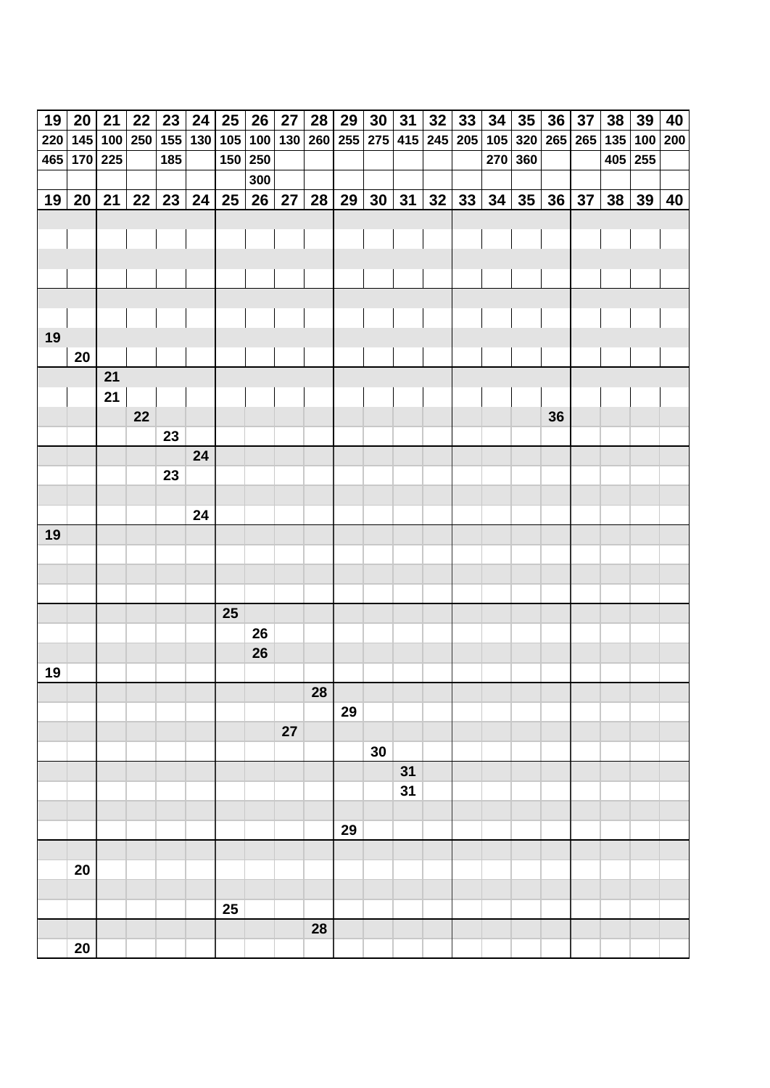| 19 | 20          | 21 | 22 | 23  | 24                          | 25               | 26      | 27 | 28 | 29 | 30                  | 31 | 32 | 33          | 34 | $35\phantom{a}$             | 36 | 37 | 38 | 39        | 40 |
|----|-------------|----|----|-----|-----------------------------|------------------|---------|----|----|----|---------------------|----|----|-------------|----|-----------------------------|----|----|----|-----------|----|
|    |             |    |    |     | 220 145 100 250 155 130 105 |                  |         |    |    |    | 100 130 260 255 275 |    |    | 415 245 205 |    | 105 320 265 265 135 100 200 |    |    |    |           |    |
|    | 465 170 225 |    |    | 185 |                             |                  | 150 250 |    |    |    |                     |    |    |             |    | 270 360                     |    |    |    | $405$ 255 |    |
|    |             |    |    |     |                             |                  | 300     |    |    |    |                     |    |    |             |    |                             |    |    |    |           |    |
|    | 19 20       | 21 | 22 | 23  | 24                          | $25\phantom{.0}$ | 26      | 27 | 28 | 29 | 30                  | 31 | 32 | 33          | 34 | 35                          | 36 | 37 | 38 | 39        | 40 |
|    |             |    |    |     |                             |                  |         |    |    |    |                     |    |    |             |    |                             |    |    |    |           |    |
|    |             |    |    |     |                             |                  |         |    |    |    |                     |    |    |             |    |                             |    |    |    |           |    |
|    |             |    |    |     |                             |                  |         |    |    |    |                     |    |    |             |    |                             |    |    |    |           |    |
|    |             |    |    |     |                             |                  |         |    |    |    |                     |    |    |             |    |                             |    |    |    |           |    |
|    |             |    |    |     |                             |                  |         |    |    |    |                     |    |    |             |    |                             |    |    |    |           |    |
|    |             |    |    |     |                             |                  |         |    |    |    |                     |    |    |             |    |                             |    |    |    |           |    |
| 19 |             |    |    |     |                             |                  |         |    |    |    |                     |    |    |             |    |                             |    |    |    |           |    |
|    | 20          |    |    |     |                             |                  |         |    |    |    |                     |    |    |             |    |                             |    |    |    |           |    |
|    |             | 21 |    |     |                             |                  |         |    |    |    |                     |    |    |             |    |                             |    |    |    |           |    |
|    |             | 21 |    |     |                             |                  |         |    |    |    |                     |    |    |             |    |                             |    |    |    |           |    |
|    |             |    | 22 |     |                             |                  |         |    |    |    |                     |    |    |             |    |                             | 36 |    |    |           |    |
|    |             |    |    | 23  |                             |                  |         |    |    |    |                     |    |    |             |    |                             |    |    |    |           |    |
|    |             |    |    |     | 24                          |                  |         |    |    |    |                     |    |    |             |    |                             |    |    |    |           |    |
|    |             |    |    | 23  |                             |                  |         |    |    |    |                     |    |    |             |    |                             |    |    |    |           |    |
|    |             |    |    |     | 24                          |                  |         |    |    |    |                     |    |    |             |    |                             |    |    |    |           |    |
| 19 |             |    |    |     |                             |                  |         |    |    |    |                     |    |    |             |    |                             |    |    |    |           |    |
|    |             |    |    |     |                             |                  |         |    |    |    |                     |    |    |             |    |                             |    |    |    |           |    |
|    |             |    |    |     |                             |                  |         |    |    |    |                     |    |    |             |    |                             |    |    |    |           |    |
|    |             |    |    |     |                             |                  |         |    |    |    |                     |    |    |             |    |                             |    |    |    |           |    |
|    |             |    |    |     |                             | 25               |         |    |    |    |                     |    |    |             |    |                             |    |    |    |           |    |
|    |             |    |    |     |                             |                  | 26      |    |    |    |                     |    |    |             |    |                             |    |    |    |           |    |
|    |             |    |    |     |                             |                  | 26      |    |    |    |                     |    |    |             |    |                             |    |    |    |           |    |
| 19 |             |    |    |     |                             |                  |         |    |    |    |                     |    |    |             |    |                             |    |    |    |           |    |
|    |             |    |    |     |                             |                  |         |    | 28 |    |                     |    |    |             |    |                             |    |    |    |           |    |
|    |             |    |    |     |                             |                  |         |    |    | 29 |                     |    |    |             |    |                             |    |    |    |           |    |
|    |             |    |    |     |                             |                  |         | 27 |    |    |                     |    |    |             |    |                             |    |    |    |           |    |
|    |             |    |    |     |                             |                  |         |    |    |    | 30                  |    |    |             |    |                             |    |    |    |           |    |
|    |             |    |    |     |                             |                  |         |    |    |    |                     | 31 |    |             |    |                             |    |    |    |           |    |
|    |             |    |    |     |                             |                  |         |    |    |    |                     | 31 |    |             |    |                             |    |    |    |           |    |
|    |             |    |    |     |                             |                  |         |    |    |    |                     |    |    |             |    |                             |    |    |    |           |    |
|    |             |    |    |     |                             |                  |         |    |    | 29 |                     |    |    |             |    |                             |    |    |    |           |    |
|    |             |    |    |     |                             |                  |         |    |    |    |                     |    |    |             |    |                             |    |    |    |           |    |
|    | 20          |    |    |     |                             |                  |         |    |    |    |                     |    |    |             |    |                             |    |    |    |           |    |
|    |             |    |    |     |                             |                  |         |    |    |    |                     |    |    |             |    |                             |    |    |    |           |    |
|    |             |    |    |     |                             | 25               |         |    |    |    |                     |    |    |             |    |                             |    |    |    |           |    |
|    |             |    |    |     |                             |                  |         |    | 28 |    |                     |    |    |             |    |                             |    |    |    |           |    |
|    | 20          |    |    |     |                             |                  |         |    |    |    |                     |    |    |             |    |                             |    |    |    |           |    |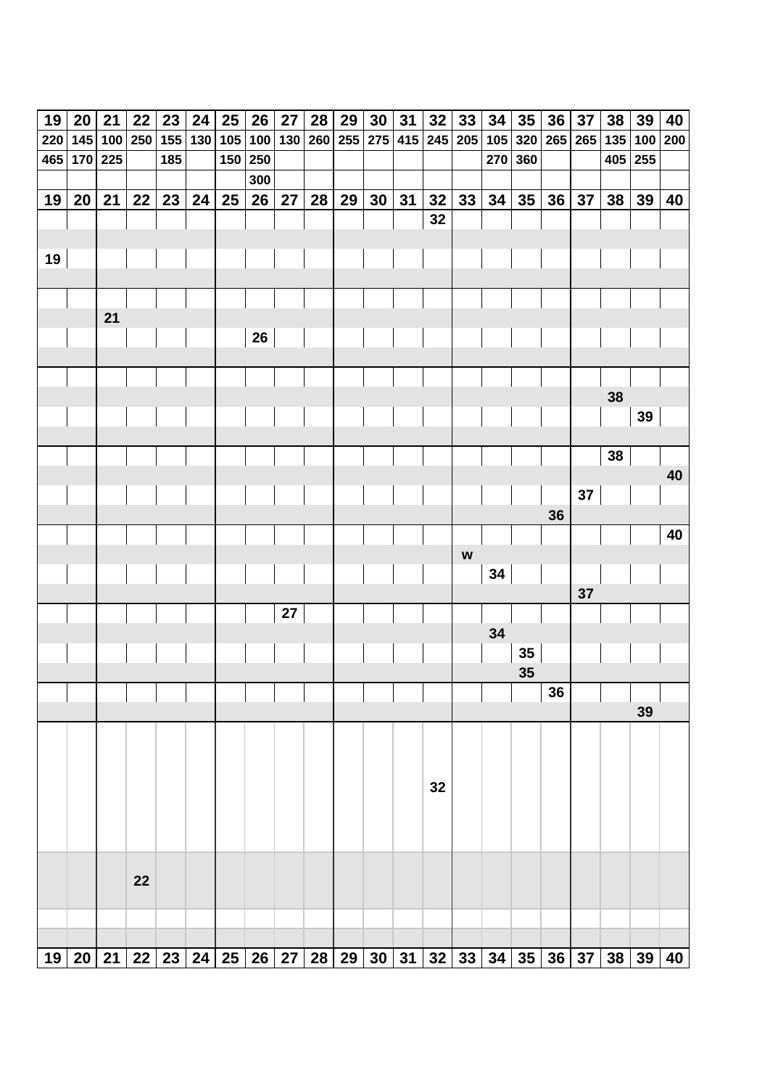| 19  | 20      | 21 | 22          | 23  | 24  | 25  | 26      | 27 | 28  | 29  | 30 | 31              | 32 | 33                        | 34  | 35              | 36      | 37                                                                | 38  | 39  | 40  |
|-----|---------|----|-------------|-----|-----|-----|---------|----|-----|-----|----|-----------------|----|---------------------------|-----|-----------------|---------|-------------------------------------------------------------------|-----|-----|-----|
| 220 | 145     |    | 100 250 155 |     | 130 | 105 | 100 130 |    | 260 | 255 |    | 275 415 245 205 |    |                           | 105 |                 | 320 265 | 265                                                               | 135 | 100 | 200 |
| 465 | 170 225 |    |             | 185 |     | 150 | 250     |    |     |     |    |                 |    |                           |     | 270 360         |         |                                                                   | 405 | 255 |     |
|     |         |    |             |     |     |     | 300     |    |     |     |    |                 |    |                           |     |                 |         |                                                                   |     |     |     |
| 19  | 20      | 21 | 22          | 23  | 24  | 25  | 26      | 27 | 28  | 29  | 30 | 31              | 32 | 33                        | 34  | 35              | 36      | 37                                                                | 38  | 39  | 40  |
|     |         |    |             |     |     |     |         |    |     |     |    |                 | 32 |                           |     |                 |         |                                                                   |     |     |     |
|     |         |    |             |     |     |     |         |    |     |     |    |                 |    |                           |     |                 |         |                                                                   |     |     |     |
| 19  |         |    |             |     |     |     |         |    |     |     |    |                 |    |                           |     |                 |         |                                                                   |     |     |     |
|     |         |    |             |     |     |     |         |    |     |     |    |                 |    |                           |     |                 |         |                                                                   |     |     |     |
|     |         |    |             |     |     |     |         |    |     |     |    |                 |    |                           |     |                 |         |                                                                   |     |     |     |
|     |         | 21 |             |     |     |     |         |    |     |     |    |                 |    |                           |     |                 |         |                                                                   |     |     |     |
|     |         |    |             |     |     |     | 26      |    |     |     |    |                 |    |                           |     |                 |         |                                                                   |     |     |     |
|     |         |    |             |     |     |     |         |    |     |     |    |                 |    |                           |     |                 |         |                                                                   |     |     |     |
|     |         |    |             |     |     |     |         |    |     |     |    |                 |    |                           |     |                 |         |                                                                   | 38  |     |     |
|     |         |    |             |     |     |     |         |    |     |     |    |                 |    |                           |     |                 |         |                                                                   |     | 39  |     |
|     |         |    |             |     |     |     |         |    |     |     |    |                 |    |                           |     |                 |         |                                                                   |     |     |     |
|     |         |    |             |     |     |     |         |    |     |     |    |                 |    |                           |     |                 |         |                                                                   | 38  |     |     |
|     |         |    |             |     |     |     |         |    |     |     |    |                 |    |                           |     |                 |         |                                                                   |     |     | 40  |
|     |         |    |             |     |     |     |         |    |     |     |    |                 |    |                           |     |                 |         | 37                                                                |     |     |     |
|     |         |    |             |     |     |     |         |    |     |     |    |                 |    |                           |     |                 | 36      |                                                                   |     |     |     |
|     |         |    |             |     |     |     |         |    |     |     |    |                 |    |                           |     |                 |         |                                                                   |     |     | 40  |
|     |         |    |             |     |     |     |         |    |     |     |    |                 |    | $\boldsymbol{\mathsf{W}}$ |     |                 |         |                                                                   |     |     |     |
|     |         |    |             |     |     |     |         |    |     |     |    |                 |    |                           | 34  |                 |         |                                                                   |     |     |     |
|     |         |    |             |     |     |     |         |    |     |     |    |                 |    |                           |     |                 |         | 37                                                                |     |     |     |
|     |         |    |             |     |     |     |         | 27 |     |     |    |                 |    |                           |     |                 |         |                                                                   |     |     |     |
|     |         |    |             |     |     |     |         |    |     |     |    |                 |    |                           | 34  |                 |         |                                                                   |     |     |     |
|     |         |    |             |     |     |     |         |    |     |     |    |                 |    |                           |     | $35\phantom{a}$ |         |                                                                   |     |     |     |
|     |         |    |             |     |     |     |         |    |     |     |    |                 |    |                           |     | 35              |         |                                                                   |     |     |     |
|     |         |    |             |     |     |     |         |    |     |     |    |                 |    |                           |     |                 | 36      |                                                                   |     |     |     |
|     |         |    |             |     |     |     |         |    |     |     |    |                 |    |                           |     |                 |         |                                                                   |     | 39  |     |
|     |         |    |             |     |     |     |         |    |     |     |    |                 |    |                           |     |                 |         |                                                                   |     |     |     |
|     |         |    |             |     |     |     |         |    |     |     |    |                 |    |                           |     |                 |         |                                                                   |     |     |     |
|     |         |    |             |     |     |     |         |    |     |     |    |                 | 32 |                           |     |                 |         |                                                                   |     |     |     |
|     |         |    |             |     |     |     |         |    |     |     |    |                 |    |                           |     |                 |         |                                                                   |     |     |     |
|     |         |    |             |     |     |     |         |    |     |     |    |                 |    |                           |     |                 |         |                                                                   |     |     |     |
|     |         |    |             |     |     |     |         |    |     |     |    |                 |    |                           |     |                 |         |                                                                   |     |     |     |
|     |         |    |             |     |     |     |         |    |     |     |    |                 |    |                           |     |                 |         |                                                                   |     |     |     |
|     |         |    | 22          |     |     |     |         |    |     |     |    |                 |    |                           |     |                 |         |                                                                   |     |     |     |
|     |         |    |             |     |     |     |         |    |     |     |    |                 |    |                           |     |                 |         |                                                                   |     |     |     |
|     |         |    |             |     |     |     |         |    |     |     |    |                 |    |                           |     |                 |         |                                                                   |     |     |     |
|     |         |    |             |     |     |     |         |    |     |     |    |                 |    |                           |     |                 |         | 19 20 21 22 23 24 25 26 27 28 29 30 31 32 33 34 35 36 37 38 39 40 |     |     |     |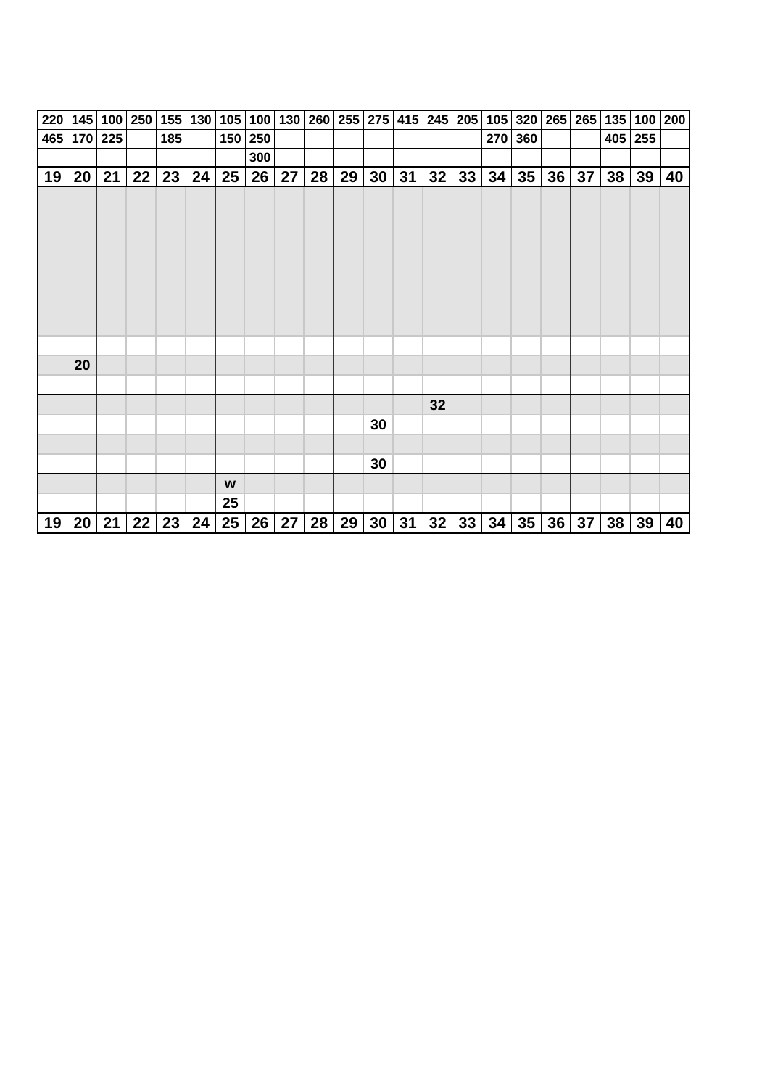| 220 |             | 145 100 | 250 | 155 | 130 |                  | 105 100 130 |    |    |    |                 | 260 255 275 415 |    | $245$ 205 | 105 | 320 |    | 265 265 | 135 | 100       | 200 |
|-----|-------------|---------|-----|-----|-----|------------------|-------------|----|----|----|-----------------|-----------------|----|-----------|-----|-----|----|---------|-----|-----------|-----|
|     | 465 170 225 |         |     | 185 |     |                  | 150 250     |    |    |    |                 |                 |    |           | 270 | 360 |    |         |     | $405$ 255 |     |
|     |             |         |     |     |     |                  | 300         |    |    |    |                 |                 |    |           |     |     |    |         |     |           |     |
| 19  | 20          | 21      | 22  | 23  | 24  | 25               | 26          | 27 | 28 | 29 | 30              | 31              | 32 | 33        | 34  | 35  | 36 | 37      | 38  | 39        | 40  |
|     |             |         |     |     |     |                  |             |    |    |    |                 |                 |    |           |     |     |    |         |     |           |     |
|     |             |         |     |     |     |                  |             |    |    |    |                 |                 |    |           |     |     |    |         |     |           |     |
|     | 20          |         |     |     |     |                  |             |    |    |    |                 |                 |    |           |     |     |    |         |     |           |     |
|     |             |         |     |     |     |                  |             |    |    |    |                 |                 |    |           |     |     |    |         |     |           |     |
|     |             |         |     |     |     |                  |             |    |    |    |                 |                 | 32 |           |     |     |    |         |     |           |     |
|     |             |         |     |     |     |                  |             |    |    |    | 30              |                 |    |           |     |     |    |         |     |           |     |
|     |             |         |     |     |     |                  |             |    |    |    |                 |                 |    |           |     |     |    |         |     |           |     |
|     |             |         |     |     |     |                  |             |    |    |    | 30              |                 |    |           |     |     |    |         |     |           |     |
|     |             |         |     |     |     | W                |             |    |    |    |                 |                 |    |           |     |     |    |         |     |           |     |
|     |             |         |     |     |     | 25               |             |    |    |    |                 |                 |    |           |     |     |    |         |     |           |     |
| 19  | 20          | 21      | 22  | 23  | 24  | $25\phantom{.0}$ | 26          | 27 | 28 | 29 | 30 <sup>°</sup> | 31              | 32 | 33        | 34  | 35  | 36 | 37      | 38  | 39        | 40  |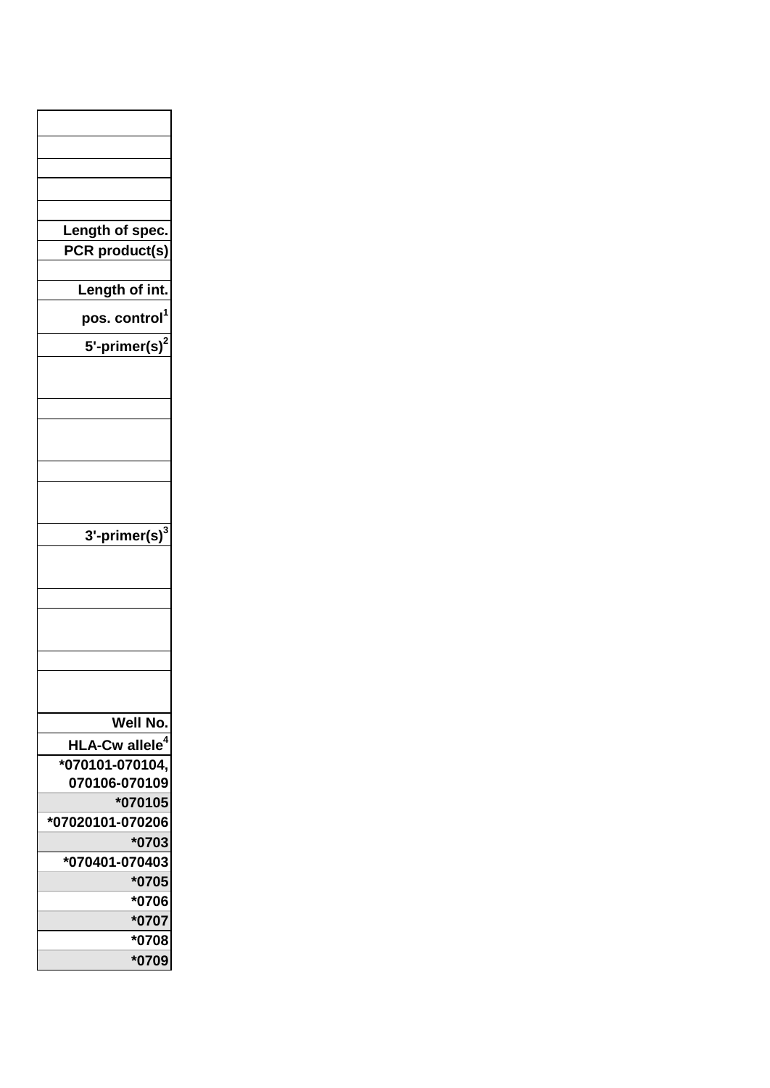| Length of spec.           |
|---------------------------|
| PCR product(s)            |
| Length of int.            |
|                           |
| pos. control <sup>1</sup> |
| 5'-primer(s) $2$          |
|                           |
|                           |
|                           |
|                           |
|                           |
|                           |
|                           |
|                           |
|                           |
| 3'-primer(s) $^3$         |
|                           |
|                           |
|                           |
|                           |
|                           |
|                           |
|                           |
|                           |
| <b>Well No</b>            |
| <b>HLA-Cw allele</b>      |
| *070101-070104,           |
| 070106-070109             |
| *070105                   |
| *07020101-070206          |
| *0703                     |
| *070401-070403            |
|                           |
| *0705                     |
|                           |
| *0706                     |
| *0707<br>*0708            |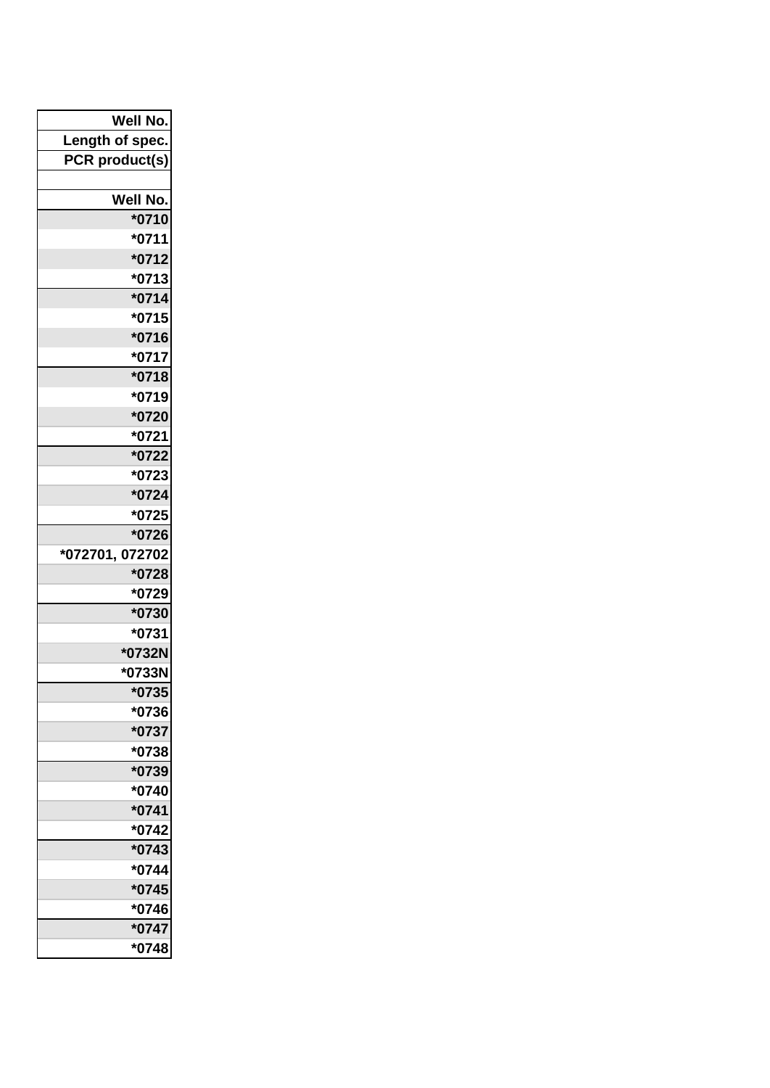| Well No.        |
|-----------------|
| Length of spec. |
| PCR product(s)  |
|                 |
| Well No.        |
| *0710           |
| $*0711$         |
| *0712           |
| *0713           |
| $*0714$         |
| *0715           |
| *0716           |
| $*0717$         |
| *0718           |
| *0719           |
| *0720           |
| $*0721$         |
| *0722           |
| *0723           |
| *0724           |
| *0725           |
| *0726           |
| *072701, 072702 |
| *0728           |
| *0729           |
| *0730           |
| $*0731$         |
| *0732N          |
| *0733N          |
| *0735           |
| *0736           |
| *0737           |
| *0738           |
| *0739           |
| *0740           |
| $*0741$         |
| *0742           |
| $*0743$         |
| *0744           |
| $*0745$         |
| *0746           |
| *0747           |
| *0748           |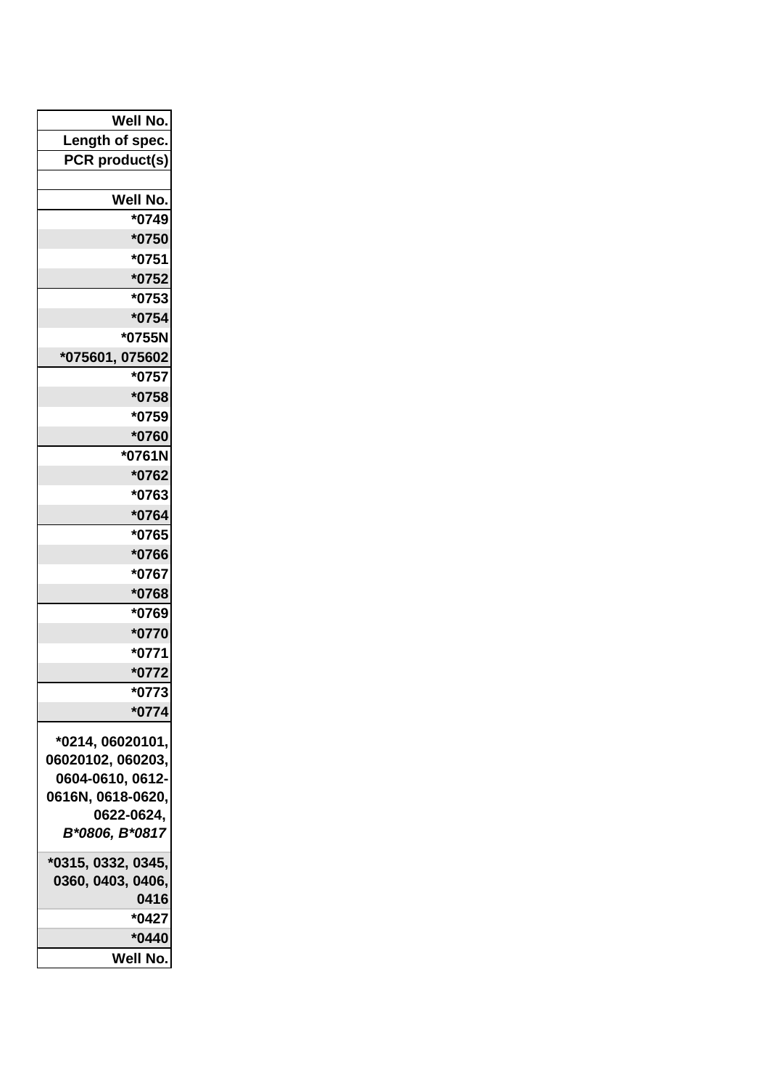| Well No.                              |
|---------------------------------------|
| Length of spec.                       |
| PCR product(s)                        |
|                                       |
| Well No.                              |
| *0749                                 |
| *0750                                 |
| *0751                                 |
| $*0752$                               |
| *0753                                 |
| $*0754$                               |
| *0755N                                |
| *075601, 075602                       |
| *0757                                 |
| *0758                                 |
| *0759                                 |
| *0760<br>*0761N                       |
| *0762                                 |
| *0763                                 |
| *0764                                 |
| *0765                                 |
| *0766                                 |
| *0767                                 |
| *0768                                 |
| *0769                                 |
| *0770                                 |
| $*0771$                               |
| *0772                                 |
| *0773                                 |
| $*0774$                               |
|                                       |
| *0214, 06020101,<br>06020102, 060203, |
| 0604-0610, 0612-                      |
| 0616N, 0618-0620,                     |
| 0622-0624,                            |
| B*0806, B*0817                        |
| *0315, 0332, 0345,                    |
| 0360, 0403, 0406,                     |
| 0416                                  |
| *0427                                 |
| $*0440$                               |
| Well No.                              |